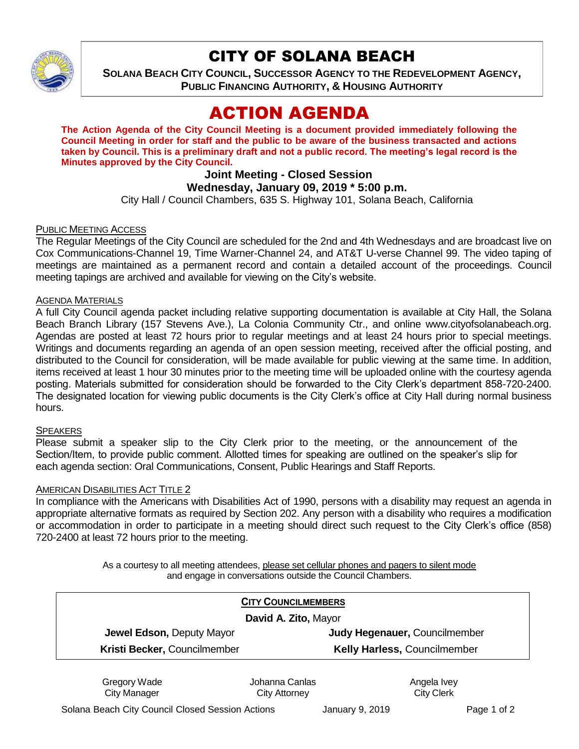

# CITY OF SOLANA BEACH

**SOLANA BEACH CITY COUNCIL, SUCCESSOR AGENCY TO THE REDEVELOPMENT AGENCY, PUBLIC FINANCING AUTHORITY, & HOUSING AUTHORITY**

# ACTION AGENDA

**The Action Agenda of the City Council Meeting is a document provided immediately following the Council Meeting in order for staff and the public to be aware of the business transacted and actions taken by Council. This is a preliminary draft and not a public record. The meeting's legal record is the Minutes approved by the City Council.**

# **Joint Meeting - Closed Session**

## **Wednesday, January 09, 2019 \* 5:00 p.m.**

City Hall / Council Chambers, 635 S. Highway 101, Solana Beach, California

### PUBLIC MEETING ACCESS

The Regular Meetings of the City Council are scheduled for the 2nd and 4th Wednesdays and are broadcast live on Cox Communications-Channel 19, Time Warner-Channel 24, and AT&T U-verse Channel 99. The video taping of meetings are maintained as a permanent record and contain a detailed account of the proceedings. Council meeting tapings are archived and available for viewing on the City's website.

#### AGENDA MATERIALS

A full City Council agenda packet including relative supporting documentation is available at City Hall, the Solana Beach Branch Library (157 Stevens Ave.), La Colonia Community Ctr., and online www.cityofsolanabeach.org. Agendas are posted at least 72 hours prior to regular meetings and at least 24 hours prior to special meetings. Writings and documents regarding an agenda of an open session meeting, received after the official posting, and distributed to the Council for consideration, will be made available for public viewing at the same time. In addition, items received at least 1 hour 30 minutes prior to the meeting time will be uploaded online with the courtesy agenda posting. Materials submitted for consideration should be forwarded to the City Clerk's department 858-720-2400. The designated location for viewing public documents is the City Clerk's office at City Hall during normal business hours.

#### **SPEAKERS**

Please submit a speaker slip to the City Clerk prior to the meeting, or the announcement of the Section/Item, to provide public comment. Allotted times for speaking are outlined on the speaker's slip for each agenda section: Oral Communications, Consent, Public Hearings and Staff Reports.

#### AMERICAN DISABILITIES ACT TITLE 2

In compliance with the Americans with Disabilities Act of 1990, persons with a disability may request an agenda in appropriate alternative formats as required by Section 202. Any person with a disability who requires a modification or accommodation in order to participate in a meeting should direct such request to the City Clerk's office (858) 720-2400 at least 72 hours prior to the meeting.

> As a courtesy to all meeting attendees, please set cellular phones and pagers to silent mode and engage in conversations outside the Council Chambers.

| <b>CITY COUNCILMEMBERS</b>          |
|-------------------------------------|
| David A. Zito, Mayor                |
| Judy Hegenauer, Councilmember       |
| <b>Kelly Harless, Councilmember</b> |
|                                     |

Gregory Wade City Manager

Johanna Canlas City Attorney

Angela Ivey City Clerk

Solana Beach City Council Closed Session Actions **January 9, 2019** Page 1 of 2